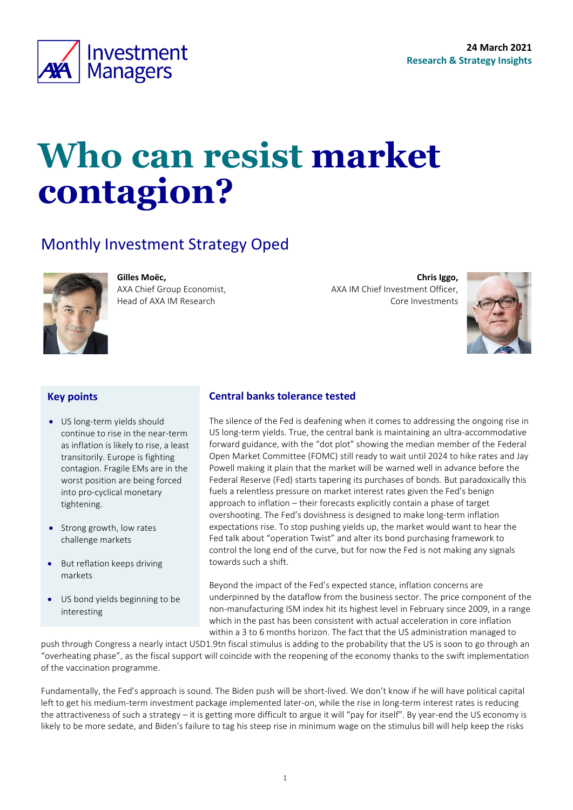

# **Who can resist market contagion?**

### Monthly Investment Strategy Oped



**Gilles Moëc,**

AXA Chief Group Economist, Head of AXA IM Research

**Chris Iggo,**  AXA IM Chief Investment Officer, Core Investments

<span id="page-0-0"></span>

#### **Key points**

- US long-term yields should continue to rise in the near-term as inflation is likely to rise, a least transitorily. Europe is fighting contagion. Fragile EMs are in the worst position are being forced into pro-cyclical monetary tightening.
- Strong growth, low rates challenge markets
- But reflation keeps driving markets
- US bond yields beginning to be interesting

#### **Central banks tolerance tested**

The silence of the Fed is deafening when it comes to addressing the ongoing rise in US long-term yields. True, the central bank is maintaining an ultra-accommodative forward guidance, with the "dot plot" showing the median member of the Federal Open Market Committee (FOMC) still ready to wait until 2024 to hike rates and Jay Powell making it plain that the market will be warned well in advance before the Federal Reserve (Fed) starts tapering its purchases of bonds. But paradoxically this fuels a relentless pressure on market interest rates given the Fed's benign approach to inflation – their forecasts explicitly contain a phase of target overshooting. The Fed's dovishness is designed to make long-term inflation expectations rise. To stop pushing yields up, the market would want to hear the Fed talk about "operation Twist" and alter its bond purchasing framework to control the long end of the curve, but for now the Fed is not making any signals towards such a shift.

Beyond the impact of the Fed's expected stance, inflation concerns are underpinned by the dataflow from the business sector. The price component of the non-manufacturing ISM index hit its highest level in February since 2009, in a range which in the past has been consistent with actual acceleration in core inflation within a 3 to 6 months horizon. The fact that the US administration managed to

push through Congress a nearly intact USD1.9tn fiscal stimulus is adding to the probability that the US is soon to go through an "overheating phase", as the fiscal support will coincide with the reopening of the economy thanks to the swift implementation of the vaccination programme.

Fundamentally, the Fed's approach is sound. The Biden push will be short-lived. We don't know if he will have political capital left to get his medium-term investment package implemented later-on, while the rise in long-term interest rates is reducing the attractiveness of such a strategy – it is getting more difficult to argue it will "pay for itself". By year-end the US economy is likely to be more sedate, and Biden's failure to tag his steep rise in minimum wage on the stimulus bill will help keep the risks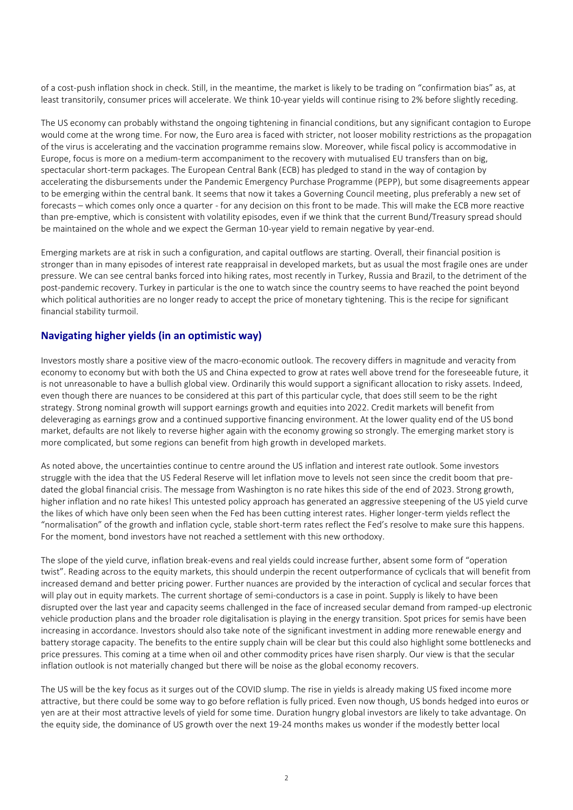of a cost-push inflation shock in check. Still, in the meantime, the market is likely to be trading on "confirmation bias" as, at least transitorily, consumer prices will accelerate. We think 10-year yields will continue rising to 2% before slightly receding.

The US economy can probably withstand the ongoing tightening in financial conditions, but any significant contagion to Europe would come at the wrong time. For now, the Euro area is faced with stricter, not looser mobility restrictions as the propagation of the virus is accelerating and the vaccination programme remains slow. Moreover, while fiscal policy is accommodative in Europe, focus is more on a medium-term accompaniment to the recovery with mutualised EU transfers than on big, spectacular short-term packages. The European Central Bank (ECB) has pledged to stand in the way of contagion by accelerating the disbursements under the Pandemic Emergency Purchase Programme (PEPP), but some disagreements appear to be emerging within the central bank. It seems that now it takes a Governing Council meeting, plus preferably a new set of forecasts – which comes only once a quarter - for any decision on this front to be made. This will make the ECB more reactive than pre-emptive, which is consistent with volatility episodes, even if we think that the current Bund/Treasury spread should be maintained on the whole and we expect the German 10-year yield to remain negative by year-end.

Emerging markets are at risk in such a configuration, and capital outflows are starting. Overall, their financial position is stronger than in many episodes of interest rate reappraisal in developed markets, but as usual the most fragile ones are under pressure. We can see central banks forced into hiking rates, most recently in Turkey, Russia and Brazil, to the detriment of the post-pandemic recovery. Turkey in particular is the one to watch since the country seems to have reached the point beyond which political authorities are no longer ready to accept the price of monetary tightening. This is the recipe for significant financial stability turmoil.

#### **Navigating higher yields (in an optimistic way)**

Investors mostly share a positive view of the macro-economic outlook. The recovery differs in magnitude and veracity from economy to economy but with both the US and China expected to grow at rates well above trend for the foreseeable future, it is not unreasonable to have a bullish global view. Ordinarily this would support a significant allocation to risky assets. Indeed, even though there are nuances to be considered at this part of this particular cycle, that does still seem to be the right strategy. Strong nominal growth will support earnings growth and equities into 2022. Credit markets will benefit from deleveraging as earnings grow and a continued supportive financing environment. At the lower quality end of the US bond market, defaults are not likely to reverse higher again with the economy growing so strongly. The emerging market story is more complicated, but some regions can benefit from high growth in developed markets.

As noted above, the uncertainties continue to centre around the US inflation and interest rate outlook. Some investors struggle with the idea that the US Federal Reserve will let inflation move to levels not seen since the credit boom that predated the global financial crisis. The message from Washington is no rate hikes this side of the end of 2023. Strong growth, higher inflation and no rate hikes! This untested policy approach has generated an aggressive steepening of the US yield curve the likes of which have only been seen when the Fed has been cutting interest rates. Higher longer-term yields reflect the "normalisation" of the growth and inflation cycle, stable short-term rates reflect the Fed's resolve to make sure this happens. For the moment, bond investors have not reached a settlement with this new orthodoxy.

The slope of the yield curve, inflation break-evens and real yields could increase further, absent some form of "operation twist". Reading across to the equity markets, this should underpin the recent outperformance of cyclicals that will benefit from increased demand and better pricing power. Further nuances are provided by the interaction of cyclical and secular forces that will play out in equity markets. The current shortage of semi-conductors is a case in point. Supply is likely to have been disrupted over the last year and capacity seems challenged in the face of increased secular demand from ramped-up electronic vehicle production plans and the broader role digitalisation is playing in the energy transition. Spot prices for semis have been increasing in accordance. Investors should also take note of the significant investment in adding more renewable energy and battery storage capacity. The benefits to the entire supply chain will be clear but this could also highlight some bottlenecks and price pressures. This coming at a time when oil and other commodity prices have risen sharply. Our view is that the secular inflation outlook is not materially changed but there will be noise as the global economy recovers.

The US will be the key focus as it surges out of the COVID slump. The rise in yields is already making US fixed income more attractive, but there could be some way to go before reflation is fully priced. Even now though, US bonds hedged into euros or yen are at their most attractive levels of yield for some time. Duration hungry global investors are likely to take advantage. On the equity side, the dominance of US growth over the next 19-24 months makes us wonder if the modestly better local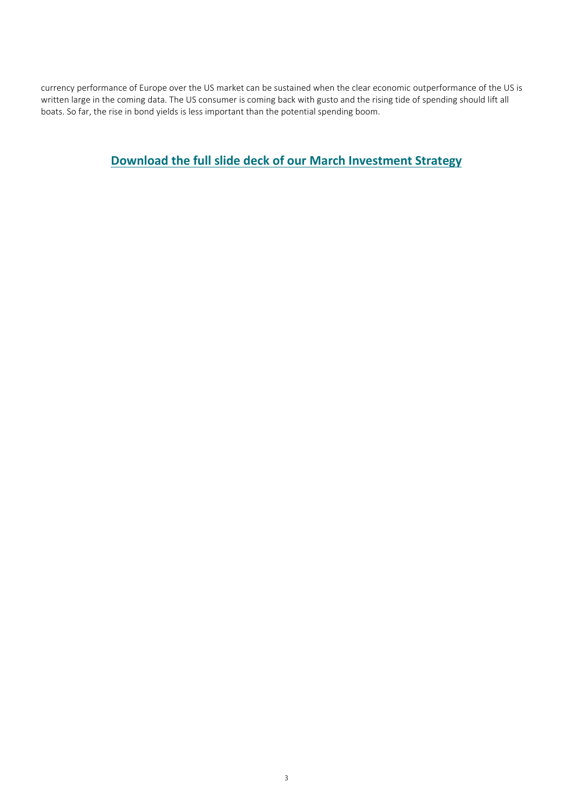currency performance of Europe over the US market can be sustained when the clear economic outperformance of the US is written large in the coming data. The US consumer is coming back with gusto and the rising tide of spending should lift all boats. So far, the rise in bond yields is less important than the potential spending boom.

**[Download the full slide deck of our March](https://www.axa-im.com/documents/20195/694460/Monthly+Investment+Strategy+Presentation+20210324+en.pdf/9a5efb1a-3c95-5d52-8227-cf2d2dde147b?t=1616575583046) Investment Strategy**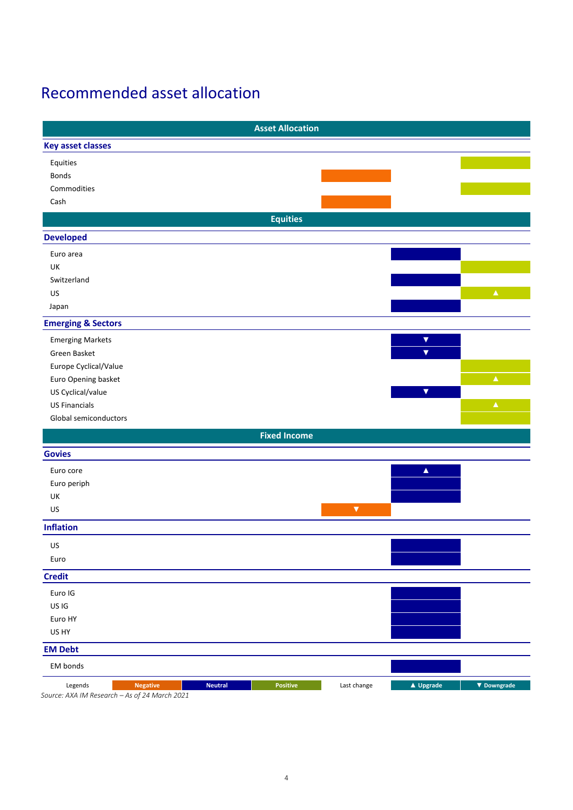### Recommended asset allocation

|                                                                             |                | <b>Asset Allocation</b> |                      |                         |                    |
|-----------------------------------------------------------------------------|----------------|-------------------------|----------------------|-------------------------|--------------------|
| <b>Key asset classes</b>                                                    |                |                         |                      |                         |                    |
| Equities                                                                    |                |                         |                      |                         |                    |
| Bonds                                                                       |                |                         |                      |                         |                    |
| Commodities                                                                 |                |                         |                      |                         |                    |
| Cash                                                                        |                |                         |                      |                         |                    |
|                                                                             |                | <b>Equities</b>         |                      |                         |                    |
| <b>Developed</b>                                                            |                |                         |                      |                         |                    |
| Euro area                                                                   |                |                         |                      |                         |                    |
| UK                                                                          |                |                         |                      |                         |                    |
| Switzerland                                                                 |                |                         |                      |                         |                    |
| US                                                                          |                |                         |                      |                         | $\blacktriangle$   |
| Japan                                                                       |                |                         |                      |                         |                    |
| <b>Emerging &amp; Sectors</b>                                               |                |                         |                      |                         |                    |
| <b>Emerging Markets</b>                                                     |                |                         |                      | $\blacktriangledown$    |                    |
| Green Basket                                                                |                |                         |                      | $\overline{\mathbf{v}}$ |                    |
| Europe Cyclical/Value                                                       |                |                         |                      |                         |                    |
| Euro Opening basket                                                         |                |                         |                      |                         | $\blacktriangle$   |
| US Cyclical/value                                                           |                |                         |                      | $\overline{\mathbf{v}}$ |                    |
| <b>US Financials</b>                                                        |                |                         |                      |                         | $\blacktriangle$   |
| Global semiconductors                                                       |                |                         |                      |                         |                    |
|                                                                             |                | <b>Fixed Income</b>     |                      |                         |                    |
| <b>Govies</b>                                                               |                |                         |                      |                         |                    |
| Euro core                                                                   |                |                         |                      | $\blacktriangle$        |                    |
| Euro periph                                                                 |                |                         |                      |                         |                    |
| UK                                                                          |                |                         |                      |                         |                    |
| US                                                                          |                |                         | $\blacktriangledown$ |                         |                    |
| <b>Inflation</b>                                                            |                |                         |                      |                         |                    |
| US                                                                          |                |                         |                      |                         |                    |
| Euro                                                                        |                |                         |                      |                         |                    |
| <b>Credit</b>                                                               |                |                         |                      |                         |                    |
| Euro IG                                                                     |                |                         |                      |                         |                    |
| US IG                                                                       |                |                         |                      |                         |                    |
| Euro HY                                                                     |                |                         |                      |                         |                    |
| US HY                                                                       |                |                         |                      |                         |                    |
| <b>EM Debt</b>                                                              |                |                         |                      |                         |                    |
| EM bonds                                                                    |                |                         |                      |                         |                    |
| Legends<br><b>Negative</b><br>Source: AXA IM Research - As of 24 March 2021 | <b>Neutral</b> | Positive                | Last change          | $\triangle$ Upgrade     | $\nabla$ Downgrade |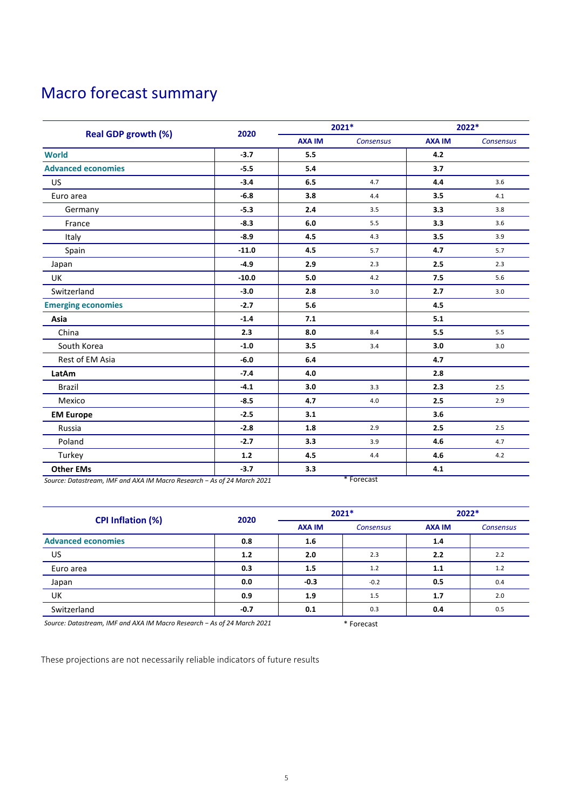### Macro forecast summary

|                            |         | 2021*         |           | 2022*         |           |
|----------------------------|---------|---------------|-----------|---------------|-----------|
| <b>Real GDP growth (%)</b> | 2020    | <b>AXA IM</b> | Consensus | <b>AXA IM</b> | Consensus |
| <b>World</b>               | $-3.7$  | 5.5           |           | 4.2           |           |
| <b>Advanced economies</b>  | $-5.5$  | 5.4           |           | 3.7           |           |
| <b>US</b>                  | $-3.4$  | 6.5           | 4.7       | 4.4           | 3.6       |
| Euro area                  | $-6.8$  | 3.8           | 4.4       | 3.5           | 4.1       |
| Germany                    | $-5.3$  | 2.4           | 3.5       | 3.3           | 3.8       |
| France                     | $-8.3$  | 6.0           | 5.5       | 3.3           | 3.6       |
| Italy                      | $-8.9$  | 4.5           | 4.3       | 3.5           | 3.9       |
| Spain                      | $-11.0$ | 4.5           | 5.7       | 4.7           | 5.7       |
| Japan                      | $-4.9$  | 2.9           | 2.3       | 2.5           | 2.3       |
| <b>UK</b>                  | $-10.0$ | 5.0           | 4.2       | 7.5           | 5.6       |
| Switzerland                | $-3.0$  | 2.8           | 3.0       | 2.7           | 3.0       |
| <b>Emerging economies</b>  | $-2.7$  | 5.6           |           | 4.5           |           |
| Asia                       | $-1.4$  | 7.1           |           | 5.1           |           |
| China                      | 2.3     | 8.0           | 8.4       | 5.5           | 5.5       |
| South Korea                | $-1.0$  | 3.5           | 3.4       | 3.0           | 3.0       |
| Rest of EM Asia            | $-6.0$  | 6.4           |           | 4.7           |           |
| LatAm                      | $-7.4$  | 4.0           |           | 2.8           |           |
| <b>Brazil</b>              | $-4.1$  | 3.0           | 3.3       | 2.3           | 2.5       |
| Mexico                     | $-8.5$  | 4.7           | 4.0       | 2.5           | 2.9       |
| <b>EM Europe</b>           | $-2.5$  | 3.1           |           | 3.6           |           |
| Russia                     | $-2.8$  | 1.8           | 2.9       | 2.5           | 2.5       |
| Poland                     | $-2.7$  | 3.3           | 3.9       | 4.6           | 4.7       |
| Turkey                     | $1.2$   | 4.5           | 4.4       | 4.6           | 4.2       |
| <b>Other EMs</b>           | $-3.7$  | 3.3           |           | 4.1           |           |

*Source: Datastream, IMF and AXA IM Macro Research − As of 24 March 2021* \* Forecast

|                                                                           |        | $2021*$       |                     | 2022*         |                  |
|---------------------------------------------------------------------------|--------|---------------|---------------------|---------------|------------------|
| <b>CPI Inflation (%)</b>                                                  | 2020   | <b>AXA IM</b> | <b>Consensus</b>    | <b>AXA IM</b> | <b>Consensus</b> |
| <b>Advanced economies</b>                                                 | 0.8    | 1.6           |                     | 1.4           |                  |
| US                                                                        | 1.2    | 2.0           | 2.3                 | 2.2           | 2.2              |
| Euro area                                                                 | 0.3    | 1.5           | 1.2                 | 1.1           | 1.2              |
| Japan                                                                     | 0.0    | $-0.3$        | $-0.2$              | 0.5           | 0.4              |
| UK                                                                        | 0.9    | 1.9           | 1.5                 | 1.7           | 2.0              |
| Switzerland                                                               | $-0.7$ | 0.1           | 0.3                 | 0.4           | 0.5              |
| $Source:$ Datactroam, IME and AVA IM Macro Recoarch - As of 24 March 2021 |        |               | $\star$ February 1. |               |                  |

*Source: Datastream, IMF and AXA IM Macro Research − As of 24 March 2021* \* Forecast

These projections are not necessarily reliable indicators of future results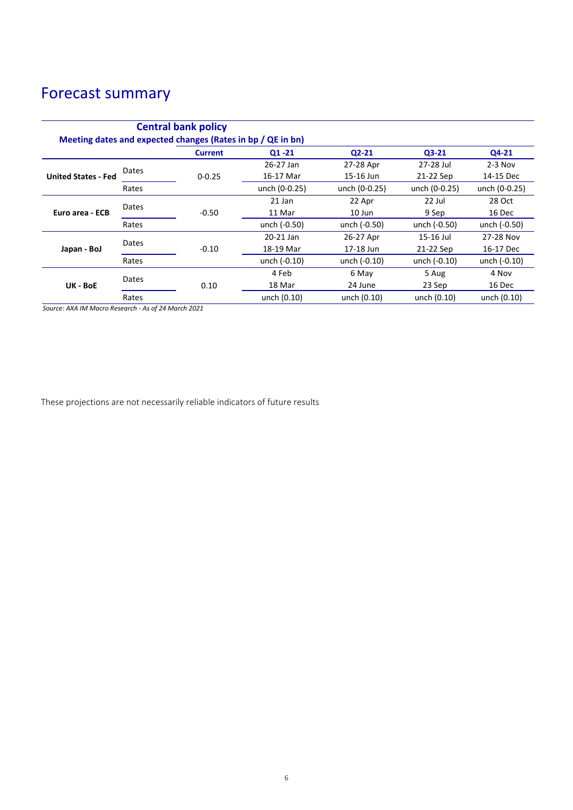### Forecast summary

| <b>Central bank policy</b><br>Meeting dates and expected changes (Rates in bp / QE in bn) |       |                |               |               |               |               |  |
|-------------------------------------------------------------------------------------------|-------|----------------|---------------|---------------|---------------|---------------|--|
|                                                                                           |       | <b>Current</b> | $Q1 - 21$     | $Q2 - 21$     | $Q3-21$       | Q4-21         |  |
| <b>United States - Fed</b>                                                                | Dates |                | 26-27 Jan     | 27-28 Apr     | 27-28 Jul     | $2-3$ Nov     |  |
|                                                                                           |       | $0 - 0.25$     | 16-17 Mar     | 15-16 Jun     | 21-22 Sep     | 14-15 Dec     |  |
|                                                                                           | Rates |                | unch (0-0.25) | unch (0-0.25) | unch (0-0.25) | unch (0-0.25) |  |
| Euro area - ECB                                                                           | Dates |                | 21 Jan        | 22 Apr        | $22$ Jul      | 28 Oct        |  |
|                                                                                           |       | $-0.50$        | 11 Mar        | 10 Jun        | 9 Sep         | 16 Dec        |  |
|                                                                                           | Rates |                | unch (-0.50)  | unch (-0.50)  | unch (-0.50)  | unch (-0.50)  |  |
| Japan - BoJ                                                                               | Dates |                | 20-21 Jan     | 26-27 Apr     | 15-16 Jul     | 27-28 Nov     |  |
|                                                                                           |       | $-0.10$        | 18-19 Mar     | 17-18 Jun     | 21-22 Sep     | 16-17 Dec     |  |
|                                                                                           | Rates |                | unch (-0.10)  | unch (-0.10)  | unch (-0.10)  | unch (-0.10)  |  |
| UK - BoE                                                                                  | Dates |                | 4 Feb         | 6 May         | 5 Aug         | 4 Nov         |  |
|                                                                                           |       | 0.10           | 18 Mar        | 24 June       | 23 Sep        | 16 Dec        |  |
|                                                                                           | Rates |                | unch (0.10)   | unch (0.10)   | unch (0.10)   | unch (0.10)   |  |

*Source: AXA IM Macro Research - As of 24 March 2021*

These projections are not necessarily reliable indicators of future results